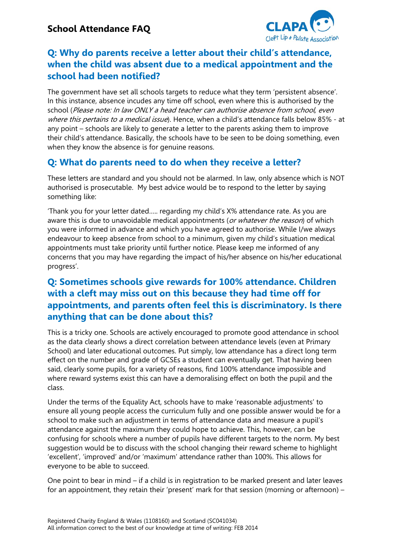

## **Q: Why do parents receive a letter about their child's attendance, when the child was absent due to a medical appointment and the school had been notified?**

The government have set all schools targets to reduce what they term 'persistent absence'. In this instance, absence incudes any time off school, even where this is authorised by the school (Please note: In law ONLY a head teacher can authorise absence from school, even where this pertains to a medical issue). Hence, when a child's attendance falls below 85% - at any point – schools are likely to generate a letter to the parents asking them to improve their child's attendance. Basically, the schools have to be seen to be doing something, even when they know the absence is for genuine reasons.

# **Q: What do parents need to do when they receive a letter?**

These letters are standard and you should not be alarmed. In law, only absence which is NOT authorised is prosecutable. My best advice would be to respond to the letter by saying something like:

'Thank you for your letter dated….. regarding my child's X% attendance rate. As you are aware this is due to unavoidable medical appointments (or whatever the reason) of which you were informed in advance and which you have agreed to authorise. While I/we always endeavour to keep absence from school to a minimum, given my child's situation medical appointments must take priority until further notice. Please keep me informed of any concerns that you may have regarding the impact of his/her absence on his/her educational progress'.

## **Q: Sometimes schools give rewards for 100% attendance. Children with a cleft may miss out on this because they had time off for appointments, and parents often feel this is discriminatory. Is there anything that can be done about this?**

This is a tricky one. Schools are actively encouraged to promote good attendance in school as the data clearly shows a direct correlation between attendance levels (even at Primary School) and later educational outcomes. Put simply, low attendance has a direct long term effect on the number and grade of GCSEs a student can eventually get. That having been said, clearly some pupils, for a variety of reasons, find 100% attendance impossible and where reward systems exist this can have a demoralising effect on both the pupil and the class.

Under the terms of the Equality Act, schools have to make 'reasonable adjustments' to ensure all young people access the curriculum fully and one possible answer would be for a school to make such an adjustment in terms of attendance data and measure a pupil's attendance against the maximum they could hope to achieve. This, however, can be confusing for schools where a number of pupils have different targets to the norm. My best suggestion would be to discuss with the school changing their reward scheme to highlight 'excellent', 'improved' and/or 'maximum' attendance rather than 100%. This allows for everyone to be able to succeed.

One point to bear in mind – if a child is in registration to be marked present and later leaves for an appointment, they retain their 'present' mark for that session (morning or afternoon) –